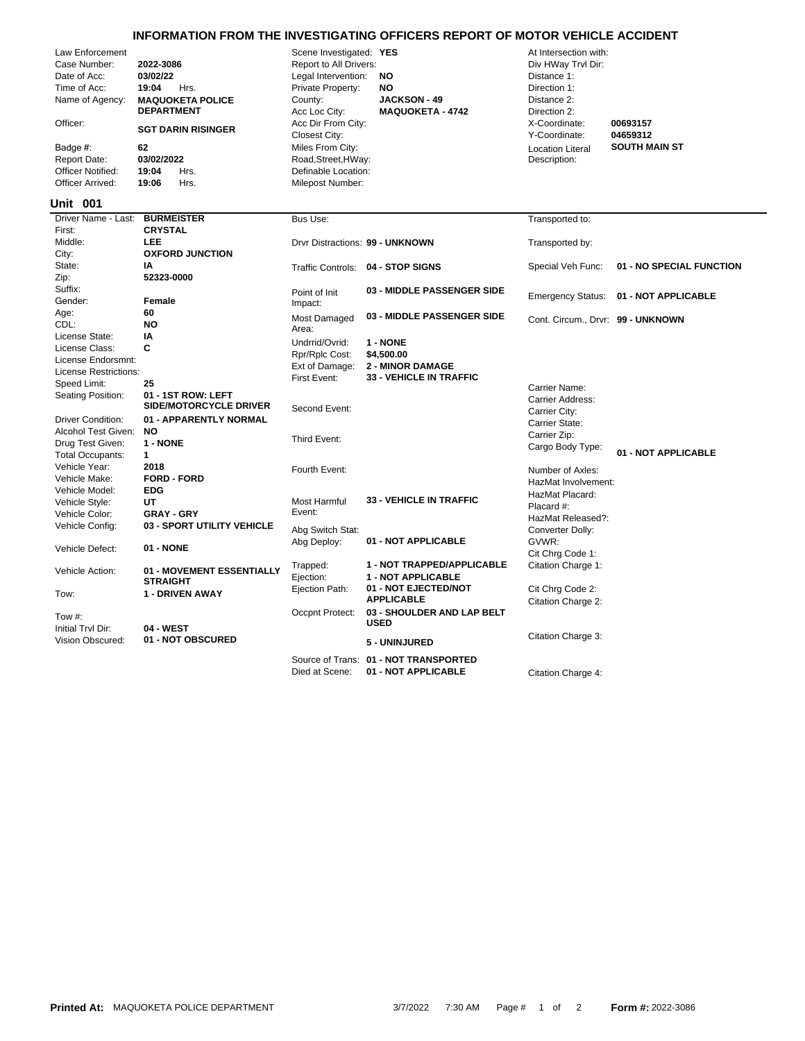## **INFORMATION FROM THE INVESTIGATING OFFICERS REPORT OF MOTOR VEHICLE ACCIDENT**

| Law Enforcement<br>Case Number:<br>Date of Acc:<br>Time of Acc:<br>Name of Agency:<br>Officer:<br>Badge #:<br><b>Report Date:</b><br><b>Officer Notified:</b><br>Officer Arrived:<br><b>Unit 001</b> | 2022-3086<br>03/02/22<br>19:04<br>Hrs.<br><b>MAQUOKETA POLICE</b><br><b>DEPARTMENT</b><br><b>SGT DARIN RISINGER</b><br>62<br>03/02/2022<br>19:04<br>Hrs.<br>19:06<br>Hrs. | Scene Investigated: YES<br>Report to All Drivers:<br>Legal Intervention:<br>Private Property:<br>County:<br>Acc Loc City:<br>Acc Dir From City:<br>Closest City:<br>Miles From City:<br>Road, Street, HWay:<br>Definable Location:<br>Milepost Number: | <b>NO</b><br><b>NO</b><br><b>JACKSON - 49</b><br><b>MAQUOKETA - 4742</b> | At Intersection with:<br>Div HWay Trvl Dir:<br>Distance 1:<br>Direction 1:<br>Distance 2:<br>Direction 2:<br>X-Coordinate:<br>Y-Coordinate:<br><b>Location Literal</b><br>Description: | 00693157<br>04659312<br><b>SOUTH MAIN ST</b> |
|------------------------------------------------------------------------------------------------------------------------------------------------------------------------------------------------------|---------------------------------------------------------------------------------------------------------------------------------------------------------------------------|--------------------------------------------------------------------------------------------------------------------------------------------------------------------------------------------------------------------------------------------------------|--------------------------------------------------------------------------|----------------------------------------------------------------------------------------------------------------------------------------------------------------------------------------|----------------------------------------------|
| Driver Name - Last:                                                                                                                                                                                  | <b>BURMEISTER</b>                                                                                                                                                         | Bus Use:                                                                                                                                                                                                                                               |                                                                          | Transported to:                                                                                                                                                                        |                                              |
| First:                                                                                                                                                                                               | <b>CRYSTAL</b>                                                                                                                                                            |                                                                                                                                                                                                                                                        |                                                                          |                                                                                                                                                                                        |                                              |
| Middle:                                                                                                                                                                                              | LEE                                                                                                                                                                       |                                                                                                                                                                                                                                                        | Drvr Distractions: 99 - UNKNOWN                                          | Transported by:                                                                                                                                                                        |                                              |
| City:                                                                                                                                                                                                | <b>OXFORD JUNCTION</b>                                                                                                                                                    |                                                                                                                                                                                                                                                        |                                                                          |                                                                                                                                                                                        |                                              |
| State:                                                                                                                                                                                               | IA                                                                                                                                                                        | Traffic Controls:                                                                                                                                                                                                                                      | 04 - STOP SIGNS                                                          | Special Veh Func:                                                                                                                                                                      | 01 - NO SPECIAL FUNCTION                     |
| Zip:                                                                                                                                                                                                 | 52323-0000                                                                                                                                                                |                                                                                                                                                                                                                                                        |                                                                          |                                                                                                                                                                                        |                                              |
| Suffix:                                                                                                                                                                                              |                                                                                                                                                                           | Point of Init                                                                                                                                                                                                                                          | 03 - MIDDLE PASSENGER SIDE                                               |                                                                                                                                                                                        | Emergency Status: 01 - NOT APPLICABLE        |
| Gender:                                                                                                                                                                                              | Female                                                                                                                                                                    | Impact:                                                                                                                                                                                                                                                |                                                                          |                                                                                                                                                                                        |                                              |
| Age:                                                                                                                                                                                                 | 60                                                                                                                                                                        | Most Damaged                                                                                                                                                                                                                                           | 03 - MIDDLE PASSENGER SIDE                                               | Cont. Circum., Drvr: 99 - UNKNOWN                                                                                                                                                      |                                              |
| CDL:                                                                                                                                                                                                 | <b>NO</b>                                                                                                                                                                 | Area:                                                                                                                                                                                                                                                  |                                                                          |                                                                                                                                                                                        |                                              |
| License State:                                                                                                                                                                                       | IA                                                                                                                                                                        | Undrrid/Ovrid:                                                                                                                                                                                                                                         | 1 - NONE                                                                 |                                                                                                                                                                                        |                                              |
| License Class:                                                                                                                                                                                       | C                                                                                                                                                                         | Rpr/Rplc Cost:                                                                                                                                                                                                                                         | \$4,500.00                                                               |                                                                                                                                                                                        |                                              |
| License Endorsmnt:                                                                                                                                                                                   |                                                                                                                                                                           | Ext of Damage:                                                                                                                                                                                                                                         | <b>2 - MINOR DAMAGE</b>                                                  |                                                                                                                                                                                        |                                              |
| License Restrictions:                                                                                                                                                                                | 25                                                                                                                                                                        | First Event:                                                                                                                                                                                                                                           | <b>33 - VEHICLE IN TRAFFIC</b>                                           |                                                                                                                                                                                        |                                              |
| Speed Limit:<br>Seating Position:                                                                                                                                                                    | 01 - 1ST ROW: LEFT                                                                                                                                                        |                                                                                                                                                                                                                                                        |                                                                          | Carrier Name:                                                                                                                                                                          |                                              |
|                                                                                                                                                                                                      | <b>SIDE/MOTORCYCLE DRIVER</b>                                                                                                                                             |                                                                                                                                                                                                                                                        |                                                                          | Carrier Address:                                                                                                                                                                       |                                              |
| <b>Driver Condition:</b>                                                                                                                                                                             | 01 - APPARENTLY NORMAL                                                                                                                                                    | Second Event:                                                                                                                                                                                                                                          |                                                                          | Carrier City:                                                                                                                                                                          |                                              |
| Alcohol Test Given:                                                                                                                                                                                  | <b>NO</b>                                                                                                                                                                 |                                                                                                                                                                                                                                                        |                                                                          | Carrier State:                                                                                                                                                                         |                                              |
| Drug Test Given:                                                                                                                                                                                     | 1 - NONE                                                                                                                                                                  | Third Event:                                                                                                                                                                                                                                           |                                                                          | Carrier Zip:                                                                                                                                                                           |                                              |
| <b>Total Occupants:</b>                                                                                                                                                                              | $\mathbf{1}$                                                                                                                                                              |                                                                                                                                                                                                                                                        |                                                                          | Cargo Body Type:                                                                                                                                                                       | 01 - NOT APPLICABLE                          |
| Vehicle Year:                                                                                                                                                                                        | 2018                                                                                                                                                                      |                                                                                                                                                                                                                                                        |                                                                          |                                                                                                                                                                                        |                                              |
| Vehicle Make:                                                                                                                                                                                        | <b>FORD - FORD</b>                                                                                                                                                        | Fourth Event:                                                                                                                                                                                                                                          |                                                                          | Number of Axles:                                                                                                                                                                       |                                              |
| Vehicle Model:                                                                                                                                                                                       | <b>EDG</b>                                                                                                                                                                |                                                                                                                                                                                                                                                        |                                                                          | HazMat Involvement:                                                                                                                                                                    |                                              |
| Vehicle Style:                                                                                                                                                                                       | UT                                                                                                                                                                        | Most Harmful                                                                                                                                                                                                                                           | <b>33 - VEHICLE IN TRAFFIC</b>                                           | HazMat Placard:                                                                                                                                                                        |                                              |
| Vehicle Color:                                                                                                                                                                                       | <b>GRAY - GRY</b>                                                                                                                                                         | Event:                                                                                                                                                                                                                                                 |                                                                          | Placard #:                                                                                                                                                                             |                                              |
| Vehicle Config:                                                                                                                                                                                      | 03 - SPORT UTILITY VEHICLE                                                                                                                                                |                                                                                                                                                                                                                                                        |                                                                          | HazMat Released?:                                                                                                                                                                      |                                              |
|                                                                                                                                                                                                      |                                                                                                                                                                           | Abg Switch Stat:<br>Abg Deploy:                                                                                                                                                                                                                        | 01 - NOT APPLICABLE                                                      | Converter Dolly:<br>GVWR:                                                                                                                                                              |                                              |
| Vehicle Defect:                                                                                                                                                                                      | <b>01 - NONE</b>                                                                                                                                                          |                                                                                                                                                                                                                                                        |                                                                          | Cit Chrg Code 1:                                                                                                                                                                       |                                              |
|                                                                                                                                                                                                      |                                                                                                                                                                           | Trapped:                                                                                                                                                                                                                                               | 1 - NOT TRAPPED/APPLICABLE                                               | Citation Charge 1:                                                                                                                                                                     |                                              |
| Vehicle Action:                                                                                                                                                                                      | 01 - MOVEMENT ESSENTIALLY                                                                                                                                                 | Ejection:                                                                                                                                                                                                                                              | <b>1 - NOT APPLICABLE</b>                                                |                                                                                                                                                                                        |                                              |
|                                                                                                                                                                                                      | <b>STRAIGHT</b>                                                                                                                                                           | Ejection Path:                                                                                                                                                                                                                                         | 01 - NOT EJECTED/NOT                                                     | Cit Chrg Code 2:                                                                                                                                                                       |                                              |
| Tow:                                                                                                                                                                                                 | 1 - DRIVEN AWAY                                                                                                                                                           |                                                                                                                                                                                                                                                        | <b>APPLICABLE</b>                                                        | Citation Charge 2:                                                                                                                                                                     |                                              |
|                                                                                                                                                                                                      |                                                                                                                                                                           | Occpnt Protect:                                                                                                                                                                                                                                        | 03 - SHOULDER AND LAP BELT                                               |                                                                                                                                                                                        |                                              |
| Tow #:                                                                                                                                                                                               |                                                                                                                                                                           |                                                                                                                                                                                                                                                        | <b>USED</b>                                                              |                                                                                                                                                                                        |                                              |
| Initial Trvl Dir:                                                                                                                                                                                    | <b>04 - WEST</b>                                                                                                                                                          |                                                                                                                                                                                                                                                        |                                                                          | Citation Charge 3:                                                                                                                                                                     |                                              |
| Vision Obscured:                                                                                                                                                                                     | 01 - NOT OBSCURED                                                                                                                                                         |                                                                                                                                                                                                                                                        | 5 - UNINJURED                                                            |                                                                                                                                                                                        |                                              |
|                                                                                                                                                                                                      |                                                                                                                                                                           |                                                                                                                                                                                                                                                        | Source of Trans: 01 - NOT TRANSPORTED                                    |                                                                                                                                                                                        |                                              |

Died at Scene: **01 - NOT APPLICABLE** Citation Charge 4:

 $\overline{\phantom{0}}$